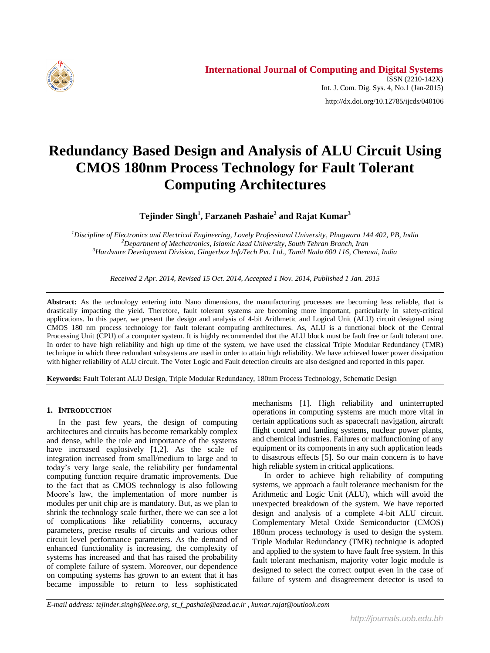

http://dx.doi.org/10.12785/ijcds/040106

# **Redundancy Based Design and Analysis of ALU Circuit Using CMOS 180nm Process Technology for Fault Tolerant Computing Architectures**

**Tejinder Singh<sup>1</sup> , Farzaneh Pashaie<sup>2</sup> and Rajat Kumar<sup>3</sup>**

*<sup>1</sup>Discipline of Electronics and Electrical Engineering, Lovely Professional University, Phagwara 144 402, PB, India <sup>2</sup>Department of Mechatronics, Islamic Azad University, South Tehran Branch, Iran <sup>3</sup>Hardware Development Division, Gingerbox InfoTech Pvt. Ltd., Tamil Nadu 600 116, Chennai, India*

*Received 2 Apr. 2014, Revised 15 Oct. 2014, Accepted 1 Nov. 2014, Published 1 Jan. 2015*

**Abstract:** As the technology entering into Nano dimensions, the manufacturing processes are becoming less reliable, that is drastically impacting the yield. Therefore, fault tolerant systems are becoming more important, particularly in safety-critical applications. In this paper, we present the design and analysis of 4-bit Arithmetic and Logical Unit (ALU) circuit designed using CMOS 180 nm process technology for fault tolerant computing architectures. As, ALU is a functional block of the Central Processing Unit (CPU) of a computer system. It is highly recommended that the ALU block must be fault free or fault tolerant one. In order to have high reliability and high up time of the system, we have used the classical Triple Modular Redundancy (TMR) technique in which three redundant subsystems are used in order to attain high reliability. We have achieved lower power dissipation with higher reliability of ALU circuit. The Voter Logic and Fault detection circuits are also designed and reported in this paper.

**Keywords:** Fault Tolerant ALU Design, Triple Modular Redundancy, 180nm Process Technology, Schematic Design

## **1. INTRODUCTION**

In the past few years, the design of computing architectures and circuits has become remarkably complex and dense, while the role and importance of the systems have increased explosively [1,2]. As the scale of integration increased from small/medium to large and to today's very large scale, the reliability per fundamental computing function require dramatic improvements. Due to the fact that as CMOS technology is also following Moore's law, the implementation of more number is modules per unit chip are is mandatory. But, as we plan to shrink the technology scale further, there we can see a lot of complications like reliability concerns, accuracy parameters, precise results of circuits and various other circuit level performance parameters. As the demand of enhanced functionality is increasing, the complexity of systems has increased and that has raised the probability of complete failure of system. Moreover, our dependence on computing systems has grown to an extent that it has became impossible to return to less sophisticated

mechanisms [1]. High reliability and uninterrupted operations in computing systems are much more vital in certain applications such as spacecraft navigation, aircraft flight control and landing systems, nuclear power plants, and chemical industries. Failures or malfunctioning of any equipment or its components in any such application leads to disastrous effects [5]. So our main concern is to have high reliable system in critical applications.

In order to achieve high reliability of computing systems, we approach a fault tolerance mechanism for the Arithmetic and Logic Unit (ALU), which will avoid the unexpected breakdown of the system. We have reported design and analysis of a complete 4-bit ALU circuit. Complementary Metal Oxide Semiconductor (CMOS) 180nm process technology is used to design the system. Triple Modular Redundancy (TMR) technique is adopted and applied to the system to have fault free system. In this fault tolerant mechanism, majority voter logic module is designed to select the correct output even in the case of failure of system and disagreement detector is used to

*E-mail address: tejinder.singh@ieee.org, st\_f\_pashaie@azad.ac.ir , kumar.rajat@outlook.com*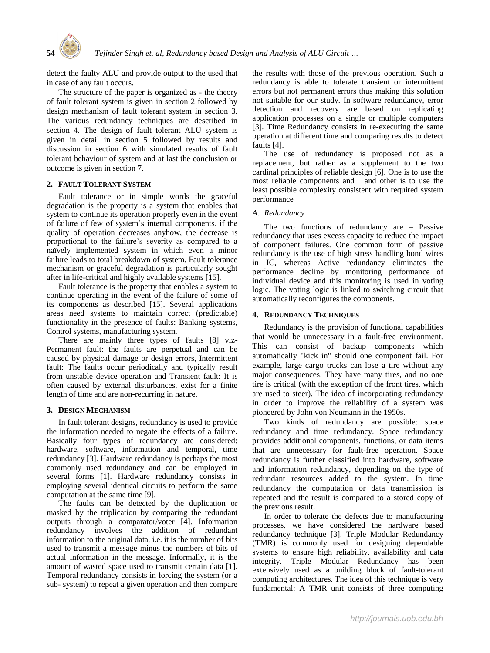

detect the faulty ALU and provide output to the used that in case of any fault occurs.

The structure of the paper is organized as - the theory of fault tolerant system is given in section 2 followed by design mechanism of fault tolerant system in section 3. The various redundancy techniques are described in section 4. The design of fault tolerant ALU system is given in detail in section 5 followed by results and discussion in section 6 with simulated results of fault tolerant behaviour of system and at last the conclusion or outcome is given in section 7.

## **2. FAULT TOLERANT SYSTEM**

Fault tolerance or in simple words the graceful degradation is the property is a system that enables that system to continue its operation properly even in the event of failure of few of system's internal components. if the quality of operation decreases anyhow, the decrease is proportional to the failure's severity as compared to a naïvely implemented system in which even a minor failure leads to total breakdown of system. Fault tolerance mechanism or graceful degradation is particularly sought after in life-critical and highly available systems [15].

Fault tolerance is the property that enables a system to continue operating in the event of the failure of some of its components as described [15]. Several applications areas need systems to maintain correct (predictable) functionality in the presence of faults: Banking systems, Control systems, manufacturing system.

There are mainly three types of faults [8] viz-Permanent fault: the faults are perpetual and can be caused by physical damage or design errors, Intermittent fault: The faults occur periodically and typically result from unstable device operation and Transient fault: It is often caused by external disturbances, exist for a finite length of time and are non-recurring in nature.

## **3. DESIGN MECHANISM**

In fault tolerant designs, redundancy is used to provide the information needed to negate the effects of a failure. Basically four types of redundancy are considered: hardware, software, information and temporal, time redundancy [3]. Hardware redundancy is perhaps the most commonly used redundancy and can be employed in several forms [1]. Hardware redundancy consists in employing several identical circuits to perform the same computation at the same time [9].

The faults can be detected by the duplication or masked by the triplication by comparing the redundant outputs through a comparator/voter [4]. Information redundancy involves the addition of redundant information to the original data, i.e. it is the number of bits used to transmit a message minus the numbers of bits of actual information in the message. Informally, it is the amount of wasted space used to transmit certain data [1]. Temporal redundancy consists in forcing the system (or a sub- system) to repeat a given operation and then compare

the results with those of the previous operation. Such a redundancy is able to tolerate transient or intermittent errors but not permanent errors thus making this solution not suitable for our study. In software redundancy, error detection and recovery are based on replicating application processes on a single or multiple computers [3]. Time Redundancy consists in re-executing the same operation at different time and comparing results to detect faults [4].

The use of redundancy is proposed not as a replacement, but rather as a supplement to the two cardinal principles of reliable design [6]. One is to use the most reliable components and and other is to use the least possible complexity consistent with required system performance

# *A. Redundancy*

The two functions of redundancy are – Passive redundancy that uses excess capacity to reduce the impact of component failures. One common form of passive redundancy is the use of high stress handling bond wires in IC, whereas Active redundancy eliminates the performance decline by monitoring performance of individual device and this monitoring is used in voting logic. The voting logic is linked to switching circuit that automatically reconfigures the components.

# **4. REDUNDANCY TECHNIQUES**

Redundancy is the provision of functional capabilities that would be unnecessary in a fault-free environment. This can consist of backup components which automatically "kick in" should one component fail. For example, large cargo trucks can lose a tire without any major consequences. They have many tires, and no one tire is critical (with the exception of the front tires, which are used to steer). The idea of incorporating redundancy in order to improve the reliability of a system was pioneered by John von Neumann in the 1950s.

Two kinds of redundancy are possible: space redundancy and time redundancy. Space redundancy provides additional components, functions, or data items that are unnecessary for fault-free operation. Space redundancy is further classified into hardware, software and information redundancy, depending on the type of redundant resources added to the system. In time redundancy the computation or data transmission is repeated and the result is compared to a stored copy of the previous result.

In order to tolerate the defects due to manufacturing processes, we have considered the hardware based redundancy technique [3]. Triple Modular Redundancy (TMR) is commonly used for designing dependable systems to ensure high reliability, availability and data integrity. Triple Modular Redundancy has been extensively used as a building block of fault-tolerant computing architectures. The idea of this technique is very fundamental: A TMR unit consists of three computing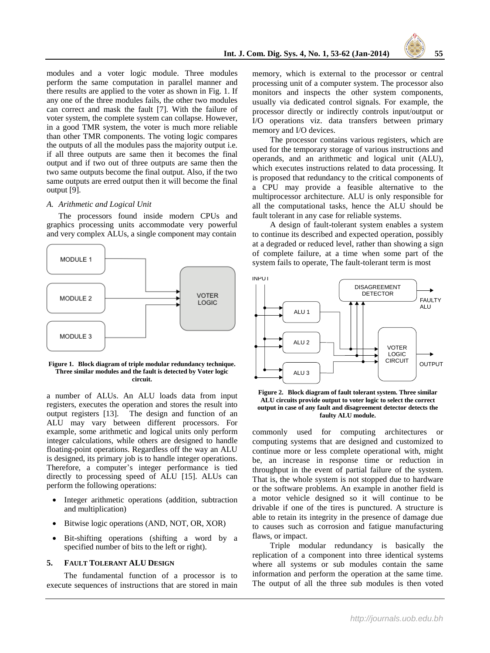

modules and a voter logic module. Three modules perform the same computation in parallel manner and there results are applied to the voter as shown in Fig. 1. If any one of the three modules fails, the other two modules can correct and mask the fault [7]. With the failure of voter system, the complete system can collapse. However, in a good TMR system, the voter is much more reliable than other TMR components. The voting logic compares the outputs of all the modules pass the majority output i.e. if all three outputs are same then it becomes the final output and if two out of three outputs are same then the two same outputs become the final output. Also, if the two same outputs are erred output then it will become the final output [9].

### *A. Arithmetic and Logical Unit*

The processors found inside modern CPUs and graphics processing units accommodate very powerful and very complex ALUs, a single component may contain



**Figure 1. Block diagram of triple modular redundancy technique. Three similar modules and the fault is detected by Voter logic circuit.**

a number of ALUs. An ALU loads data from input registers, executes the operation and stores the result into output registers [13]. The design and function of an ALU may vary between different processors. For example, some arithmetic and logical units only perform integer calculations, while others are designed to handle floating-point operations. Regardless off the way an ALU is designed, its primary job is to handle integer operations. Therefore, a computer's integer performance is tied directly to processing speed of ALU [15]. ALUs can perform the following operations:

- Integer arithmetic operations (addition, subtraction and multiplication)
- Bitwise logic operations (AND, NOT, OR, XOR)
- Bit-shifting operations (shifting a word by a specified number of bits to the left or right).

## **5. FAULT TOLERANT ALU DESIGN**

The fundamental function of a processor is to execute sequences of instructions that are stored in main

memory, which is external to the processor or central processing unit of a computer system. The processor also monitors and inspects the other system components, usually via dedicated control signals. For example, the processor directly or indirectly controls input/output or I/O operations viz. data transfers between primary memory and I/O devices.

The processor contains various registers, which are used for the temporary storage of various instructions and operands, and an arithmetic and logical unit (ALU), which executes instructions related to data processing. It is proposed that redundancy to the critical components of a CPU may provide a feasible alternative to the multiprocessor architecture. ALU is only responsible for all the computational tasks, hence the ALU should be fault tolerant in any case for reliable systems.

A design of fault-tolerant system enables a system to continue its described and expected operation, possibly at a degraded or reduced level, rather than showing a sign of complete failure, at a time when some part of the system fails to operate, The fault-tolerant term is most



**Figure 2. Block diagram of fault tolerant system. Three similar ALU circuits provide output to voter logic to select the correct output in case of any fault and disagreement detector detects the faulty ALU module.**

commonly used for computing architectures or computing systems that are designed and customized to continue more or less complete operational with, might be, an increase in response time or reduction in throughput in the event of partial failure of the system. That is, the whole system is not stopped due to hardware or the software problems. An example in another field is a motor vehicle designed so it will continue to be drivable if one of the tires is punctured. A structure is able to retain its integrity in the presence of damage due to causes such as corrosion and fatigue manufacturing flaws, or impact.

Triple modular redundancy is basically the replication of a component into three identical systems where all systems or sub modules contain the same information and perform the operation at the same time. The output of all the three sub modules is then voted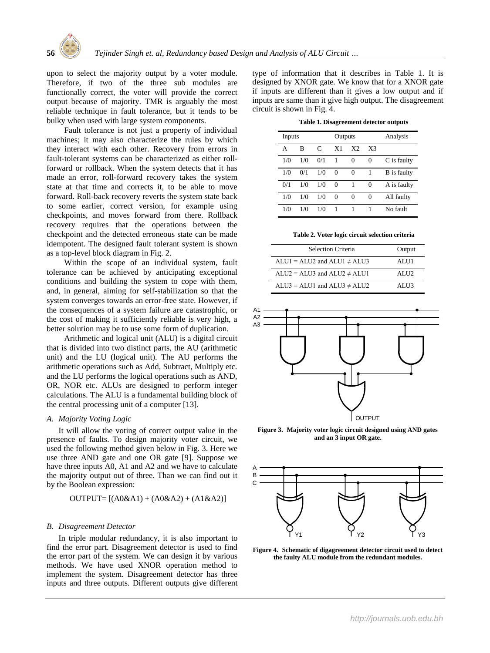

upon to select the majority output by a voter module. Therefore, if two of the three sub modules are functionally correct, the voter will provide the correct output because of majority. TMR is arguably the most reliable technique in fault tolerance, but it tends to be bulky when used with large system components.

Fault tolerance is not just a property of individual machines; it may also characterize the rules by which they interact with each other. Recovery from errors in fault-tolerant systems can be characterized as either rollforward or rollback. When the system detects that it has made an error, roll-forward recovery takes the system state at that time and corrects it, to be able to move forward. Roll-back recovery reverts the system state back to some earlier, correct version, for example using checkpoints, and moves forward from there. Rollback recovery requires that the operations between the checkpoint and the detected erroneous state can be made idempotent. The designed fault tolerant system is shown as a top-level block diagram in Fig. 2.

Within the scope of an individual system, fault tolerance can be achieved by anticipating exceptional conditions and building the system to cope with them, and, in general, aiming for self-stabilization so that the system converges towards an error-free state. However, if the consequences of a system failure are catastrophic, or the cost of making it sufficiently reliable is very high, a better solution may be to use some form of duplication.

Arithmetic and logical unit (ALU) is a digital circuit that is divided into two distinct parts, the AU (arithmetic unit) and the LU (logical unit). The AU performs the arithmetic operations such as Add, Subtract, Multiply etc. and the LU performs the logical operations such as AND, OR, NOR etc. ALUs are designed to perform integer calculations. The ALU is a fundamental building block of the central processing unit of a computer [13].

# *A. Majority Voting Logic*

It will allow the voting of correct output value in the presence of faults. To design majority voter circuit, we used the following method given below in Fig. 3. Here we use three AND gate and one OR gate [9]. Suppose we have three inputs A0, A1 and A2 and we have to calculate the majority output out of three. Than we can find out it by the Boolean expression:

$$
OUTPUT= [(A0&A1) + (A0&A2) + (A1&A2)]
$$

### *B. Disagreement Detector*

In triple modular redundancy, it is also important to find the error part. Disagreement detector is used to find the error part of the system. We can design it by various methods. We have used XNOR operation method to implement the system. Disagreement detector has three inputs and three outputs. Different outputs give different type of information that it describes in Table 1. It is designed by XNOR gate. We know that for a XNOR gate if inputs are different than it gives a low output and if inputs are same than it give high output. The disagreement circuit is shown in Fig. 4.

| Table 1. Disagreement detector outputs |  |  |
|----------------------------------------|--|--|
|----------------------------------------|--|--|

| Inputs |     |     | Outputs        |                |                | Analysis           |
|--------|-----|-----|----------------|----------------|----------------|--------------------|
| A      | в   | C   | X <sub>1</sub> | X <sub>2</sub> | X <sup>3</sup> |                    |
| 1/0    | 1/0 | 0/1 | 1              | 0              | 0              | C is faulty        |
| 1/0    | 0/1 | 1/0 | $\Omega$       | 0              |                | <b>B</b> is faulty |
| 0/1    | 1/0 | 1/0 | $\Omega$       | 1              | 0              | A is faulty        |
| 1/0    | 1/0 | 1/0 | $\Omega$       | 0              | $\Omega$       | All faulty         |
| 1/0    | 1/0 | 1/0 |                |                |                | No fault           |

**Table 2. Voter logic circuit selection criteria**

| <b>Selection Criteria</b>          | Output |
|------------------------------------|--------|
| $ALU1 = ALU2$ and $ALU1 \neq ALU3$ | ALU1   |
| $ALU2 = ALU3$ and $ALU2 \neq ALU1$ | AIJI2  |
| $ALU3 = ALU1$ and $ALU3 \neq ALU2$ | ALU3   |



**Figure 3. Majority voter logic circuit designed using AND gates and an 3 input OR gate.**



**Figure 4. Schematic of digagreement detector circuit used to detect the faulty ALU module from the redundant modules.**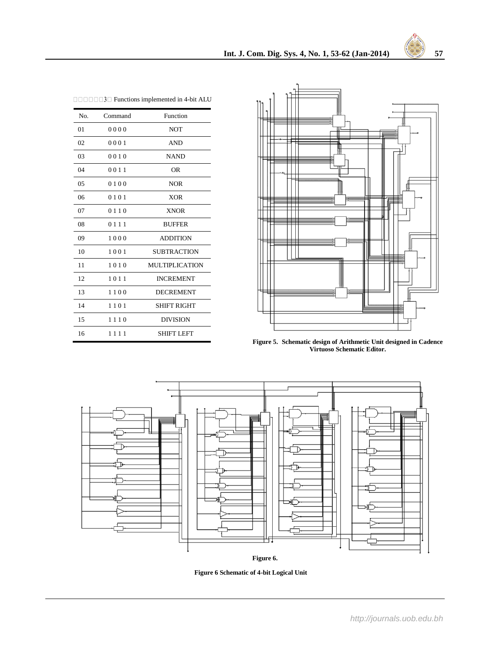| No. | Command  | Function              |
|-----|----------|-----------------------|
| 01  | 0000     | <b>NOT</b>            |
| 02  | 0001     | <b>AND</b>            |
| 03  | 0010     | <b>NAND</b>           |
| 04  | 0011     | 0R                    |
| 05  | 0100     | <b>NOR</b>            |
| 06  | 0101     | <b>XOR</b>            |
| 07  | 0 1 1 0  | <b>XNOR</b>           |
| 08  | 0 1 1 1  | <b>BUFFER</b>         |
| 09  | 1000     | <b>ADDITION</b>       |
| 10  | 1001     | <b>SUBTRACTION</b>    |
| 11  | 1010     | <b>MULTIPLICATION</b> |
| 12  | 1011     | <b>INCREMENT</b>      |
| 13  | 1100     | <b>DECREMENT</b>      |
| 14  | 1101     | SHIFT RIGHT           |
| 15  | 1110     | <b>DIVISION</b>       |
| 16  | 111<br>1 | <b>SHIFT LEFT</b>     |

|  |  |  | $\Box$ $\Box$ $\Box$ $\Box$ $\Box$ $\Box$ $\Box$ Functions implemented in 4-bit ALU |  |  |
|--|--|--|-------------------------------------------------------------------------------------|--|--|
|  |  |  |                                                                                     |  |  |



**Figure 5. Schematic design of Arithmetic Unit designed in Cadence Virtuoso Schematic Editor.**



**Figure 6.** 

**Figure 6 Schematic of 4-bit Logical Unit**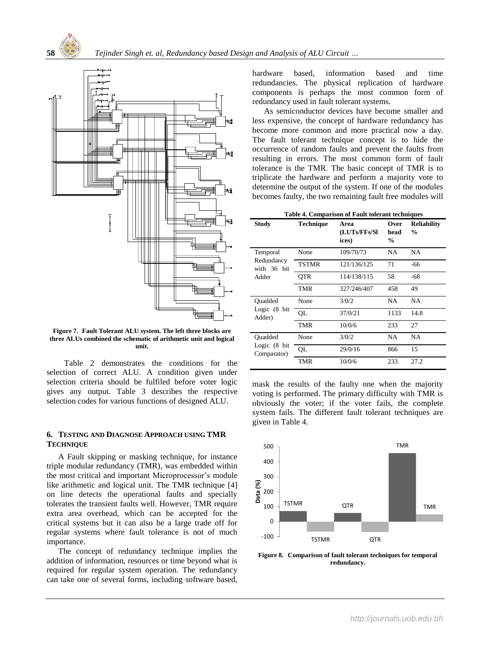



**Figure 7. Fault Tolerant ALU system. The left three blocks are three ALUs combined the schematic of arithmetic unit and logical unit.**

Table 2 demonstrates the conditions for the selection of correct ALU. A condition given under selection criteria should be fulfiled before voter logic gives any output. Table 3 describes the respective selection codes for various functions of designed ALU.

# **6. TESTING AND DIAGNOSE APPROACH USING TMR TECHNIQUE**

A Fault skipping or masking technique, for instance triple modular redundancy (TMR), was embedded within the most critical and important Microprocessor's module like arithmetic and logical unit. The TMR technique [4] on line detects the operational faults and specially tolerates the transient faults well. However, TMR require extra area overhead, which can be accepted for the critical systems but it can also be a large trade off for regular systems where fault tolerance is not of much importance.

The concept of redundancy technique implies the addition of information, resources or time beyond what is required for regular system operation. The redundancy can take one of several forms, including software based,

hardware based, information based and time redundancies. The physical replication of hardware components is perhaps the most common form of redundancy used in fault tolerant systems.

As semiconductor devices have become smaller and less expensive, the concept of hardware redundancy has become more common and more practical now a day. The fault tolerant technique concept is to hide the occurrence of random faults and prevent the faults from resulting in errors. The most common form of fault tolerance is the TMR. The basic concept of TMR is to triplicate the hardware and perform a majority vote to determine the output of the system. If one of the modules becomes faulty, the two remaining fault free modules will

| Table 4. Comparison of Fault tolerant techniques |  |  |
|--------------------------------------------------|--|--|
|                                                  |  |  |

| <b>Study</b>                                      | <b>Technique</b> | Area<br>(LUTs/FFs/Sl<br>ices) | Over<br>head<br>$\%$ | <b>Reliability</b><br>$\%$ |
|---------------------------------------------------|------------------|-------------------------------|----------------------|----------------------------|
| Temporal                                          | None             | 109/70/73                     | NA                   | <b>NA</b>                  |
| Redundancy<br>with 36 bit                         | <b>TSTMR</b>     | 121/136/125                   | 71                   | -66                        |
| Adder                                             | <b>OTR</b>       | 114/138/115                   | 58                   | -68                        |
|                                                   | <b>TMR</b>       | 327/246/407                   | 458                  | 49                         |
| Ouadded<br>Logic (8 bit<br>Adder)                 | None             | 3/0/2                         | NA                   | <b>NA</b>                  |
|                                                   | OL               | 37/0/21                       | 1133                 | 14.8                       |
|                                                   | <b>TMR</b>       | 10/0/6                        | 233                  | 27                         |
| Ouadded<br>Logic $(8 \text{ bit})$<br>Comparator) | None             | 3/0/2                         | NA                   | NA                         |
|                                                   | QL               | 29/0/16                       | 866                  | 15                         |
|                                                   | <b>TMR</b>       | 10/0/6                        | 233                  | 27.2                       |

mask the results of the faulty one when the majority voting is performed. The primary difficulty with TMR is obviously the voter; if the voter fails, the complete system fails. The different fault tolerant techniques are given in Table 4.



**Figure 8. Comparison of fault tolerant techniques for temporal redundancy.**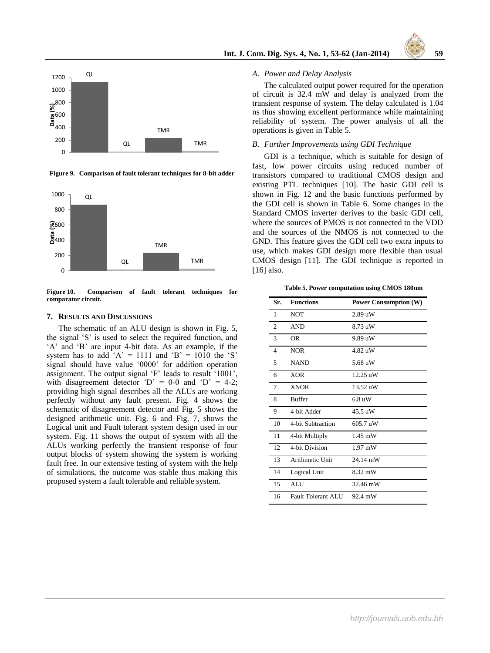

**Figure 9. Comparison of fault tolerant techniques for 8-bit adder**



**Figure 10. Comparison of fault tolerant techniques for comparator circuit.**

#### **7. RESULTS AND DISCUSSIONS**

The schematic of an ALU design is shown in Fig. 5, the signal 'S' is used to select the required function, and 'A' and 'B' are input 4-bit data. As an example, if the system has to add 'A' = 1111 and 'B' =  $1010$  the 'S' signal should have value '0000' for addition operation assignment. The output signal 'F' leads to result '1001', with disagreement detector 'D' =  $0-0$  and 'D' =  $4-2$ ; providing high signal describes all the ALUs are working perfectly without any fault present. Fig. 4 shows the schematic of disagreement detector and Fig. 5 shows the designed arithmetic unit. Fig. 6 and Fig. 7, shows the Logical unit and Fault tolerant system design used in our system. Fig. 11 shows the output of system with all the ALUs working perfectly the transient response of four output blocks of system showing the system is working fault free. In our extensive testing of system with the help of simulations, the outcome was stable thus making this proposed system a fault tolerable and reliable system.

## *A. Power and Delay Analysis*

The calculated output power required for the operation of circuit is 32.4 mW and delay is analyzed from the transient response of system. The delay calculated is 1.04 ns thus showing excellent performance while maintaining reliability of system. The power analysis of all the operations is given in Table 5.

#### *B. Further Improvements using GDI Technique*

GDI is a technique, which is suitable for design of fast, low power circuits using reduced number of transistors compared to traditional CMOS design and existing PTL techniques [10]. The basic GDI cell is shown in Fig. 12 and the basic functions performed by the GDI cell is shown in Table 6. Some changes in the Standard CMOS inverter derives to the basic GDI cell, where the sources of PMOS is not connected to the VDD and the sources of the NMOS is not connected to the GND. This feature gives the GDI cell two extra inputs to use, which makes GDI design more flexible than usual CMOS design [11]. The GDI technique is reported in [16] also.

**Table 5. Power computation using CMOS 180nm**

| Sr.            | <b>Functions</b>   | <b>Power Consumption (W)</b> |
|----------------|--------------------|------------------------------|
| 1              | <b>NOT</b>         | $2.89$ uW                    |
| $\mathfrak{D}$ | <b>AND</b>         | $8.73 \text{ nW}$            |
| 3              | <b>OR</b>          | 9.89 uW                      |
| 4              | <b>NOR</b>         | 4.82 uW                      |
| 5              | <b>NAND</b>        | 5.68 uW                      |
| 6              | <b>XOR</b>         | 12.25 uW                     |
| $\overline{7}$ | <b>XNOR</b>        | 13.52 uW                     |
| 8              | <b>Buffer</b>      | 6.8 uW                       |
| 9              | 4-bit Adder        | $45.5 \text{ uW}$            |
| 10             | 4-bit Subtraction  | 605.7 uW                     |
| 11             | 4-bit Multiply     | $1.45$ mW                    |
| 12             | 4-bit Division     | $1.97$ mW                    |
| 13             | Arithmetic Unit    | 24.14 mW                     |
| 14             | Logical Unit       | 8.32 mW                      |
| 15             | <b>ALU</b>         | 32.46 mW                     |
| 16             | Fault Tolerant ALU | 92.4 mW                      |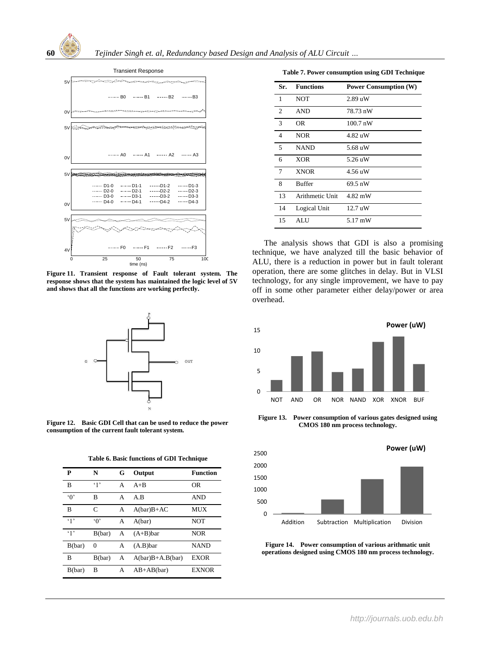



**Figure 11. Transient response of Fault tolerant system. The response shows that the system has maintained the logic level of 5V and shows that all the functions are working perfectly.**



**Figure 12. Basic GDI Cell that can be used to reduce the power consumption of the current fault tolerant system.**

**Table 6. Basic functions of GDI Technique**

| P          | N            | G | Output             | Function       |
|------------|--------------|---|--------------------|----------------|
| B          | $\cdot$ 1'   | A | $A + B$            | 0 <sub>R</sub> |
| $\Omega$   | B            | A | A.B                | <b>AND</b>     |
| B          | $\mathsf{C}$ | A | $A(bar)B+AC$       | MUX            |
| $\cdot$ 1' | $\Omega$     | A | A(bar)             | NOT            |
| 41         | B(bar)       | A | $(A+B)$ bar        | <b>NOR</b>     |
| B(bar)     | $\Omega$     | А | $(A.B)$ bar        | <b>NAND</b>    |
| B          | B(bar)       | A | $A(bar)B+A.B(bar)$ | <b>EXOR</b>    |
| B(bar)     | B            | A | $AB+AB(bar)$       | <b>EXNOR</b>   |

| Sr.            | <b>Functions</b> | <b>Power Consumption (W)</b> |
|----------------|------------------|------------------------------|
| 1              | <b>NOT</b>       | $2.89$ uW                    |
| 2              | <b>AND</b>       | 78.73 nW                     |
| 3              | OR               | $100.7 \text{ nW}$           |
| $\overline{4}$ | <b>NOR</b>       | 4.82 uW                      |
| 5              | <b>NAND</b>      | 5.68 uW                      |
| 6              | <b>XOR</b>       | 5.26 uW                      |
| 7              | <b>XNOR</b>      | 4.56 uW                      |
| 8              | <b>Buffer</b>    | 69.5 nW                      |
| 13             | Arithmetic Unit  | 4.82 mW                      |
| 14             | Logical Unit     | 12.7 uW                      |
| 15             | ALU              | 5.17 mW                      |

The analysis shows that GDI is also a promising technique, we have analyzed till the basic behavior of ALU, there is a reduction in power but in fault tolerant operation, there are some glitches in delay. But in VLSI technology, for any single improvement, we have to pay off in some other parameter either delay/power or area overhead.



**Figure 13. Power consumption of various gates designed using CMOS 180 nm process technology.**



**Figure 14. Power consumption of various arithmatic unit operations designed using CMOS 180 nm process technology.**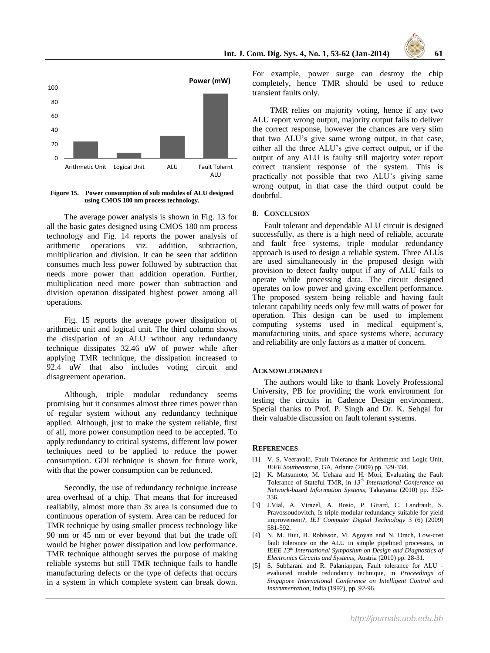



**Figure 15. Power consumption of sub modules of ALU designed using CMOS 180 nm process technology.**

The average power analysis is shown in Fig. 13 for all the basic gates designed using CMOS 180 nm process technology and Fig. 14 reports the power analysis of arithmetic operations viz. addition, subtraction, multiplication and division. It can be seen that addition consumes much less power followed by subtraction that needs more power than addition operation. Further, multiplication need more power than subtraction and division operation dissipated highest power among all operations.

Fig. 15 reports the average power dissipation of arithmetic unit and logical unit. The third column shows the dissipation of an ALU without any redundancy technique dissipates 32.46 uW of power while after applying TMR technique, the dissipation increased to 92.4 uW that also includes voting circuit and disagreement operation.

Although, triple modular redundancy seems promising but it consumes almost three times power than of regular system without any redundancy technique applied. Although, just to make the system reliable, first of all, more power consumption need to be accepted. To apply redundancy to critical systems, different low power techniques need to be applied to reduce the power consumption. GDI technique is shown for future work, with that the power consumption can be redunced.

Secondly, the use of redundancy technique increase area overhead of a chip. That means that for increased realiabily, almost more than 3x area is consumed due to continuous operation of system. Area can be reduced for TMR technique by using smaller process technology like 90 nm or 45 nm or ever beyond that but the trade off would be higher power dissipation and low performance. TMR technique althought serves the purpose of making reliable systems but still TMR technique fails to handle manufacturing defects or the type of defects that occurs in a system in which complete system can break down. For example, power surge can destroy the chip completely, hence TMR should be used to reduce transient faults only.

TMR relies on majority voting, hence if any two ALU report wrong output, majority output fails to deliver the correct response, however the chances are very slim that two ALU's give same wrong output, in that case, either all the three ALU's give correct output, or if the output of any ALU is faulty still majority voter report correct transient response of the system. This is practically not possible that two ALU's giving same wrong output, in that case the third output could be doubtful.

## **8. CONCLUSION**

Fault tolerant and dependable ALU circuit is designed successfully, as there is a high need of reliable, accurate and fault free systems, triple modular redundancy approach is used to design a reliable system. Three ALUs are used simultaneously in the proposed design with provision to detect faulty output if any of ALU fails to operate while processing data. The circuit designed operates on low power and giving excellent performance. The proposed system being reliable and having fault tolerant capability needs only few mill watts of power for operation. This design can be used to implement computing systems used in medical equipment's, manufacturing units, and space systems where, accuracy and reliability are only factors as a matter of concern.

#### **ACKNOWLEDGMENT**

The authors would like to thank Lovely Professional University, PB for providing the work environment for testing the circuits in Cadence Design environment. Special thanks to Prof. P. Singh and Dr. K. Sehgal for their valuable discussion on fault tolerant systems.

#### **REFERENCES**

- [1] V. S. Veeravalli, Fault Tolerance for Arithmetic and Logic Unit, *IEEE Southeastcon*, GA, Atlanta (2009) pp. 329-334.
- [2] K. Matsumoto, M. Uehara and H. Mori, Evaluating the Fault Tolerance of Stateful TMR, in *13th International Conference on Network-based Information Systems*, Takayama (2010) pp. 332- 336.
- [3] J.Vial, A. Virazel, A. Bosio, P. Girard, C. Landrault, S. Pravossoudovitch, Is triple modular redundancy suitable for yield improvement?, *IET Computer Digital Technology* 3 (6) (2009) 581-592.
- [4] N. M. Huu, B. Robisson, M. Agoyan and N. Drach, Low-cost fault tolerance on the ALU in simple pipelined processors, in *IEEE 13th International Symposium on Design and Diagnostics of Electronics Circuits and Systems*, Austria (2010) pp. 28-31.
- [5] S. Subharani and R. Palaniappan, Fault tolerance for ALU evaluated module redundancy technique, in *Proceedings of Singapore International Conference on Intelligent Control and Instrumentation*, India (1992), pp. 92-96.